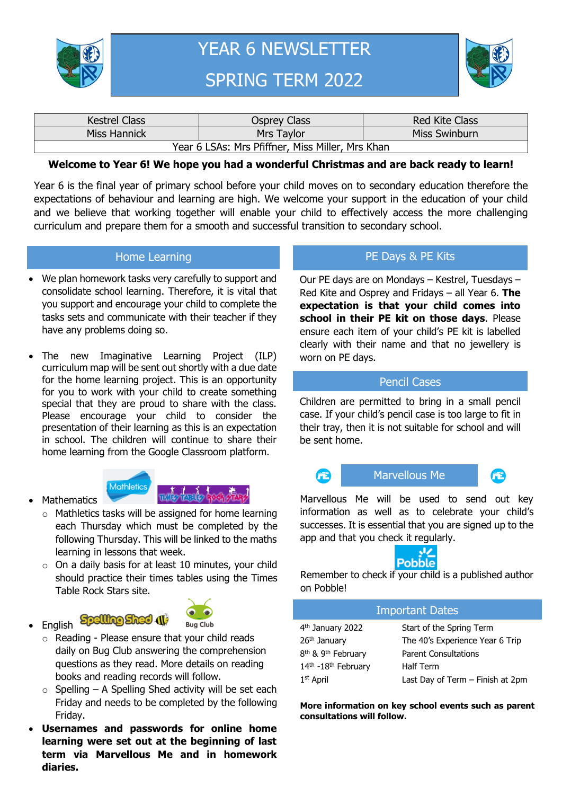



| <b>Kestrel Class</b>                             | Osprey Class | <b>Red Kite Class</b> |  |  |  |  |
|--------------------------------------------------|--------------|-----------------------|--|--|--|--|
| Miss Hannick                                     | Mrs Taylor   | <b>Miss Swinburn</b>  |  |  |  |  |
| Year 6 LSAs: Mrs Pfiffner, Miss Miller, Mrs Khan |              |                       |  |  |  |  |

### **Welcome to Year 6! We hope you had a wonderful Christmas and are back ready to learn!**

Year 6 is the final year of primary school before your child moves on to secondary education therefore the expectations of behaviour and learning are high. We welcome your support in the education of your child and we believe that working together will enable your child to effectively access the more challenging curriculum and prepare them for a smooth and successful transition to secondary school.

#### Home Learning

- We plan homework tasks very carefully to support and consolidate school learning. Therefore, it is vital that you support and encourage your child to complete the tasks sets and communicate with their teacher if they have any problems doing so.
- The new Imaginative Learning Project (ILP) curriculum map will be sent out shortly with a due date for the home learning project. This is an opportunity for you to work with your child to create something special that they are proud to share with the class. Please encourage your child to consider the presentation of their learning as this is an expectation in school. The children will continue to share their home learning from the Google Classroom platform.



**Spelling Shed 41** 



- o Mathletics tasks will be assigned for home learning each Thursday which must be completed by the following Thursday. This will be linked to the maths learning in lessons that week.
- o On a daily basis for at least 10 minutes, your child should practice their times tables using the Times Table Rock Stars site.
- English



- o Reading Please ensure that your child reads daily on Bug Club answering the comprehension questions as they read. More details on reading books and reading records will follow.
- $\circ$  Spelling A Spelling Shed activity will be set each Friday and needs to be completed by the following Friday.
- **Usernames and passwords for online home learning were set out at the beginning of last term via Marvellous Me and in homework diaries.**

## PE Days & PE Kits

Our PE days are on Mondays – Kestrel, Tuesdays – Red Kite and Osprey and Fridays – all Year 6. **The expectation is that your child comes into school in their PE kit on those days**. Please ensure each item of your child's PE kit is labelled clearly with their name and that no jewellery is worn on PE days.

### Pencil Cases

Children are permitted to bring in a small pencil case. If your child's pencil case is too large to fit in their tray, then it is not suitable for school and will be sent home.



re

Marvellous Me will be used to send out key information as well as to celebrate your child's successes. It is essential that you are signed up to the app and that you check it regularly.



Remember to check if your child is a published author on Pobble!

| <b>Important Dates</b>                     |                                  |  |  |
|--------------------------------------------|----------------------------------|--|--|
| 4 <sup>th</sup> January 2022               | Start of the Spring Term         |  |  |
| 26 <sup>th</sup> January                   | The 40's Experience Year 6 Trip  |  |  |
| 8 <sup>th</sup> & 9 <sup>th</sup> February | <b>Parent Consultations</b>      |  |  |
| 14th -18th February                        | <b>Half Term</b>                 |  |  |
| $1st$ April                                | Last Day of Term - Finish at 2pm |  |  |

**More information on key school events such as parent consultations will follow.**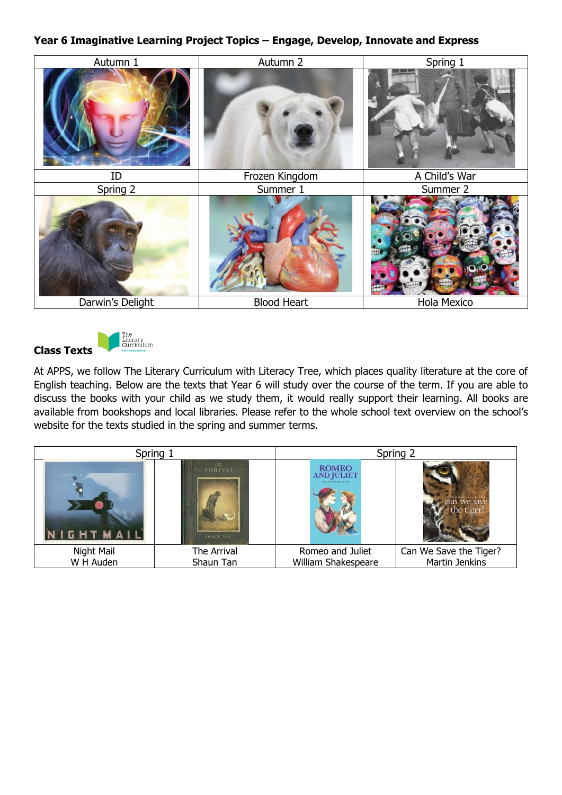## **Year 6 Imaginative Learning Project Topics – Engage, Develop, Innovate and Express**





At APPS, we follow The Literary Curriculum with Literacy Tree, which places quality literature at the core of English teaching. Below are the texts that Year 6 will study over the course of the term. If you are able to discuss the books with your child as we study them, it would really support their learning. All books are available from bookshops and local libraries. Please refer to the whole school text overview on the school's website for the texts studied in the spring and summer terms.

| Spring 1                                        |             |                                                                      | Spring 2               |
|-------------------------------------------------|-------------|----------------------------------------------------------------------|------------------------|
| <b>ARRIVAL</b><br>NIGHTMAIL<br><b>SHAUN TAN</b> |             | <b>ROMEO</b><br><b>AND JULIET</b><br><b>NIE LIJKSA SIŁEKIE SPSJE</b> |                        |
| Night Mail                                      | The Arrival | Romeo and Juliet                                                     | Can We Save the Tiger? |
| W H Auden<br>Shaun Tan                          |             | William Shakespeare                                                  | Martin Jenkins         |